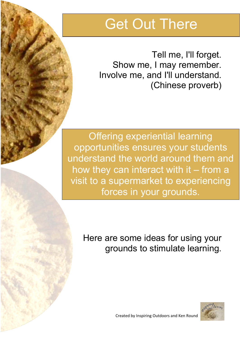## Get Out There

Tell me, I'll forget. Show me, I may remember. Involve me, and I'll understand. (Chinese proverb)

Offering experiential learning opportunities ensures your students understand the world around them and how they can interact with it – from a visit to a supermarket to experiencing forces in your grounds.

Here are some ideas for using your grounds to stimulate learning.



Created by Inspiring Outdoors and Ken Round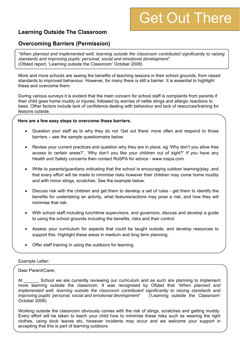# Get Out There

## **Learning Outside The Classroom**

### **Overcoming Barriers (Permission)**

*"When planned and implemented well, learning outside the classroom contributed significantly to raising standards and improving pupils' personal, social and emotional development*" (Ofsted report, 'Learning outside the Classroom' October 2008)

More and more schools are seeing the benefits of teaching lessons in their school grounds, from raised standards to improved behaviour. However, for many there is still a barrier. It is essential to highlight these and overcome them.

During various surveys it is evident that the main concern for school staff is complaints from parents if their child goes home muddy or injured, followed by worries of nettle stings and allergic reactions to bees. Other factors include lack of confidence dealing with behaviour and lack of resources/training for lessons outside.

#### **Here are a few easy steps to overcome these barriers.**

- Question your staff as to why they do not 'Get out there' more often and respond to those barriers – see the sample questionnaire below.
- Review your current practices and question why they are in place, eg 'Why don't you allow free access to certain areas?', 'Why don't you like your children out of sight?' If you have any Health and Safety concerns then contact RoSPA for advice - www.rospa.com
- Write to parents/guardians indicating that the school is encouraging outdoor learning/play, and that every effort will be made to minimise risks however their children may come home muddy and with minor stings, scratches. See the example below.
- Discuss risk with the children and get them to develop a set of rules get them to identify the benefits for undertaking an activity, what features/actions may pose a risk, and how they will minimise that risk.
- With school staff including lunchtime supervisors, and governors, discuss and develop a guide to using the school grounds including the benefits, risks and their control.
- Assess your curriculum for aspects that could be taught outside, and develop resources to support this. Highlight these areas in medium and long term planning.
- Offer staff training in using the outdoors for learning.

#### Example Letter:

Dear Parent/Carer,

At School we are currently reviewing our curriculum and as such are planning to implement more learning outside the classroom. It was recognised by Ofsted that *"When planned and implemented well, learning outside the classroom contributed significantly to raising standards and improving pupils' personal, social and emotional development*" ('Learning outside the Classroom' October 2008)

Working outside the classroom obviously comes with the risk of stings, scratches and getting muddy. Every effort will be taken to teach your child how to minimise these risks such as wearing the right clothes, using dock leaves etc, however incidents may occur and we welcome your support in accepting that this is part of learning outdoors.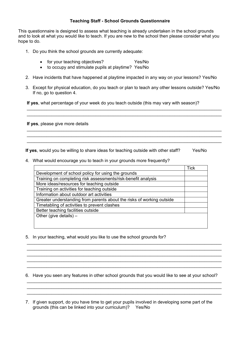#### **Teaching Staff - School Grounds Questionnaire**

This questionnaire is designed to assess what teaching is already undertaken in the school grounds and to look at what you would like to teach. If you are new to the school then please consider what you hope to do.

- 1. Do you think the school grounds are currently adequate:
	- for your teaching objectives? Yes/No
	- to occupy and stimulate pupils at playtime? Yes/No
- 2. Have incidents that have happened at playtime impacted in any way on your lessons? Yes/No
- 3. Except for physical education, do you teach or plan to teach any other lessons outside? Yes/No If no, go to question 4.

 $\_$  $\_$ 

 $\_$  $\_$  $\_$ 

**If yes**, what percentage of your week do you teach outside (this may vary with season)?

**If yes**, please give more details

**If yes**, would you be willing to share ideas for teaching outside with other staff? Yes/No

4. What would encourage you to teach in your grounds more frequently?

|                                                                       | Tick |
|-----------------------------------------------------------------------|------|
| Development of school policy for using the grounds                    |      |
| Training on completing risk assessments/risk-benefit analysis         |      |
| More ideas/resources for teaching outside                             |      |
| Training on activities for teaching outside                           |      |
| Information about outdoor art activities                              |      |
| Greater understanding from parents about the risks of working outside |      |
| Timetabling of activities to prevent clashes                          |      |
| Better teaching facilities outside                                    |      |
| Other (give details) $-$                                              |      |
|                                                                       |      |

5. In your teaching, what would you like to use the school grounds for?

6. Have you seen any features in other school grounds that you would like to see at your school?  $\_$ 

 $\_$  $\_$  , and the contribution of the contribution of the contribution of the contribution of  $\mathcal{L}_\mathcal{A}$ 

 $\_$ 

 $\_$  $\_$  $\_$  , and the contribution of the contribution of the contribution of the contribution of the contribution of  $\mathcal{L}_\text{max}$ 

7. If given support, do you have time to get your pupils involved in developing some part of the grounds (this can be linked into your curriculum)? Yes/No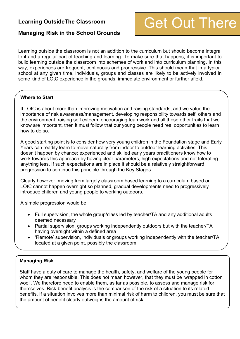### **Learning OutsideThe Classroom**

## Get Out There

### **Managing Risk in the School Grounds**

Learning outside the classroom is not an addition to the curriculum but should become integral to it and a regular part of teaching and learning. To make sure that happens, it is important to build learning outside the classroom into schemes of work and into curriculum planning. In this way, experiences are frequent, continuous and progressive. This should mean that in a typical school at any given time, individuals, groups and classes are likely to be actively involved in some kind of LOtC experience in the grounds, immediate environment or further afield.

#### **Where to Start**

If LOtC is about more than improving motivation and raising standards, and we value the importance of risk awareness/management, developing responsibility towards self, others and the environment, raising self esteem, encouraging teamwork and all those other traits that we know are important, then it must follow that our young people need real opportunities to learn how to do so.

A good starting point is to consider how very young children in the Foundation stage and Early Years can readily learn to move naturally from indoor to outdoor learning activities. This doesn't happen by chance; experienced and skilled early years practitioners know how to work towards this approach by having clear parameters, high expectations and not tolerating anything less. If such expectations are in place it should be a relatively straightforward progression to continue this principle through the Key Stages.

Clearly however, moving from largely classroom based learning to a curriculum based on LOtC cannot happen overnight so planned, gradual developments need to progressively introduce children and young people to working outdoors.

A simple progression would be:

- Full supervision, the whole group/class led by teacher/TA and any additional adults deemed necessary
- Partial supervision, groups working independently outdoors but with the teacher/TA having oversight within a defined area
- 'Remote' supervision, individuals or groups working independently with the teacher/TA located at a given point, possibly the classroom

## **Managing Risk**

Staff have a duty of care to manage the health, safety, and welfare of the young people for whom they are responsible. This does not mean however, that they must be 'wrapped in cotton wool'. We therefore need to enable them, as far as possible, to assess and manage risk for themselves. Risk-benefit analysis is the comparison of the risk of a situation to its related benefits. If a situation involves more than minimal risk of harm to children, you must be sure that the amount of benefit clearly outweighs the amount of risk.